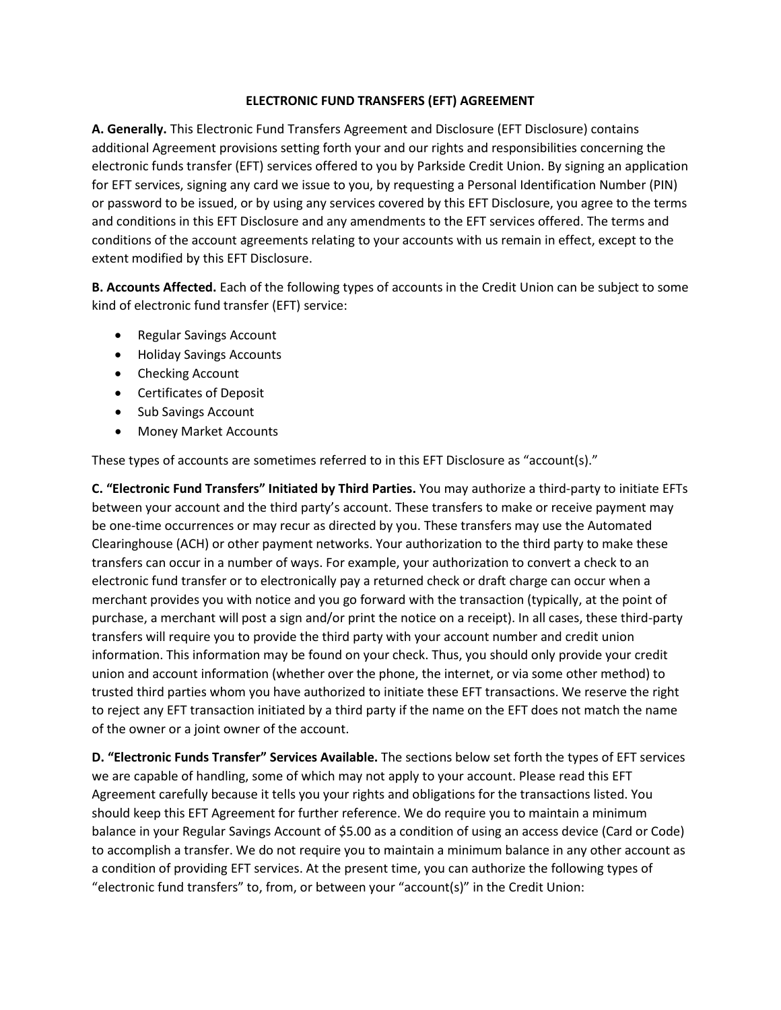## **ELECTRONIC FUND TRANSFERS (EFT) AGREEMENT**

**A. Generally.** This Electronic Fund Transfers Agreement and Disclosure (EFT Disclosure) contains additional Agreement provisions setting forth your and our rights and responsibilities concerning the electronic funds transfer (EFT) services offered to you by Parkside Credit Union. By signing an application for EFT services, signing any card we issue to you, by requesting a Personal Identification Number (PIN) or password to be issued, or by using any services covered by this EFT Disclosure, you agree to the terms and conditions in this EFT Disclosure and any amendments to the EFT services offered. The terms and conditions of the account agreements relating to your accounts with us remain in effect, except to the extent modified by this EFT Disclosure.

**B. Accounts Affected.** Each of the following types of accounts in the Credit Union can be subject to some kind of electronic fund transfer (EFT) service:

- Regular Savings Account
- Holiday Savings Accounts
- Checking Account
- Certificates of Deposit
- Sub Savings Account
- Money Market Accounts

These types of accounts are sometimes referred to in this EFT Disclosure as "account(s)."

**C. "Electronic Fund Transfers" Initiated by Third Parties.** You may authorize a third-party to initiate EFTs between your account and the third party's account. These transfers to make or receive payment may be one-time occurrences or may recur as directed by you. These transfers may use the Automated Clearinghouse (ACH) or other payment networks. Your authorization to the third party to make these transfers can occur in a number of ways. For example, your authorization to convert a check to an electronic fund transfer or to electronically pay a returned check or draft charge can occur when a merchant provides you with notice and you go forward with the transaction (typically, at the point of purchase, a merchant will post a sign and/or print the notice on a receipt). In all cases, these third-party transfers will require you to provide the third party with your account number and credit union information. This information may be found on your check. Thus, you should only provide your credit union and account information (whether over the phone, the internet, or via some other method) to trusted third parties whom you have authorized to initiate these EFT transactions. We reserve the right to reject any EFT transaction initiated by a third party if the name on the EFT does not match the name of the owner or a joint owner of the account.

**D. "Electronic Funds Transfer" Services Available.** The sections below set forth the types of EFT services we are capable of handling, some of which may not apply to your account. Please read this EFT Agreement carefully because it tells you your rights and obligations for the transactions listed. You should keep this EFT Agreement for further reference. We do require you to maintain a minimum balance in your Regular Savings Account of \$5.00 as a condition of using an access device (Card or Code) to accomplish a transfer. We do not require you to maintain a minimum balance in any other account as a condition of providing EFT services. At the present time, you can authorize the following types of "electronic fund transfers" to, from, or between your "account(s)" in the Credit Union: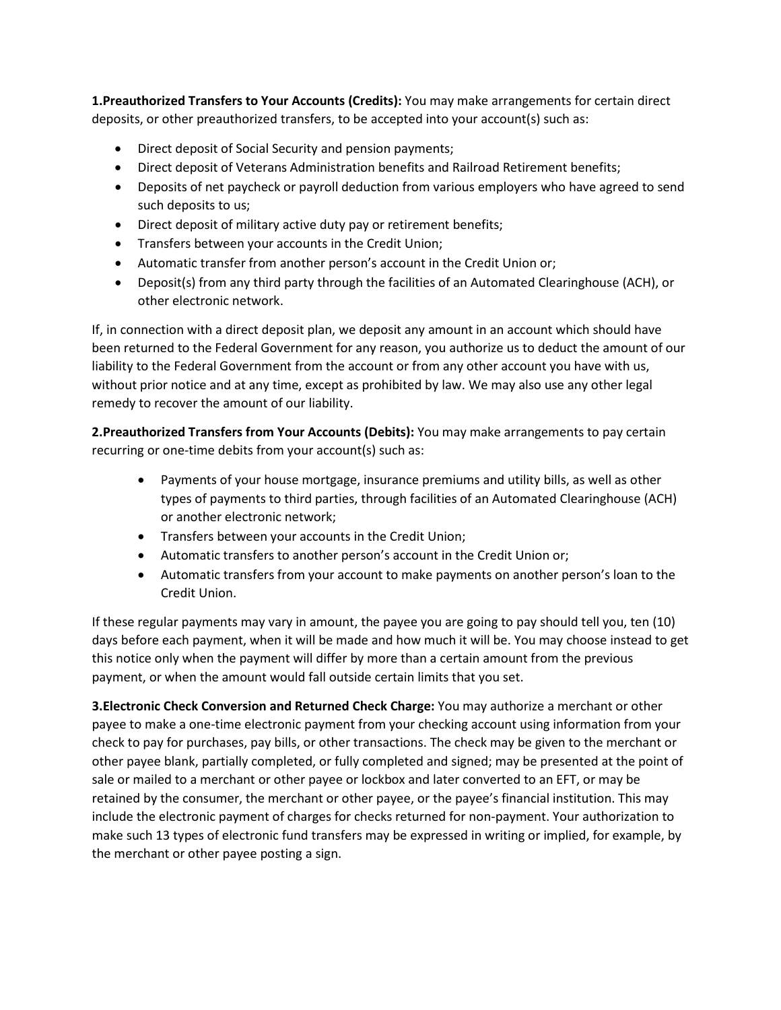**1.Preauthorized Transfers to Your Accounts (Credits):** You may make arrangements for certain direct deposits, or other preauthorized transfers, to be accepted into your account(s) such as:

- Direct deposit of Social Security and pension payments;
- Direct deposit of Veterans Administration benefits and Railroad Retirement benefits;
- Deposits of net paycheck or payroll deduction from various employers who have agreed to send such deposits to us;
- Direct deposit of military active duty pay or retirement benefits;
- Transfers between your accounts in the Credit Union;
- Automatic transfer from another person's account in the Credit Union or;
- Deposit(s) from any third party through the facilities of an Automated Clearinghouse (ACH), or other electronic network.

If, in connection with a direct deposit plan, we deposit any amount in an account which should have been returned to the Federal Government for any reason, you authorize us to deduct the amount of our liability to the Federal Government from the account or from any other account you have with us, without prior notice and at any time, except as prohibited by law. We may also use any other legal remedy to recover the amount of our liability.

**2.Preauthorized Transfers from Your Accounts (Debits):** You may make arrangements to pay certain recurring or one-time debits from your account(s) such as:

- Payments of your house mortgage, insurance premiums and utility bills, as well as other types of payments to third parties, through facilities of an Automated Clearinghouse (ACH) or another electronic network;
- Transfers between your accounts in the Credit Union;
- Automatic transfers to another person's account in the Credit Union or;
- Automatic transfers from your account to make payments on another person's loan to the Credit Union.

If these regular payments may vary in amount, the payee you are going to pay should tell you, ten (10) days before each payment, when it will be made and how much it will be. You may choose instead to get this notice only when the payment will differ by more than a certain amount from the previous payment, or when the amount would fall outside certain limits that you set.

**3.Electronic Check Conversion and Returned Check Charge:** You may authorize a merchant or other payee to make a one-time electronic payment from your checking account using information from your check to pay for purchases, pay bills, or other transactions. The check may be given to the merchant or other payee blank, partially completed, or fully completed and signed; may be presented at the point of sale or mailed to a merchant or other payee or lockbox and later converted to an EFT, or may be retained by the consumer, the merchant or other payee, or the payee's financial institution. This may include the electronic payment of charges for checks returned for non-payment. Your authorization to make such 13 types of electronic fund transfers may be expressed in writing or implied, for example, by the merchant or other payee posting a sign.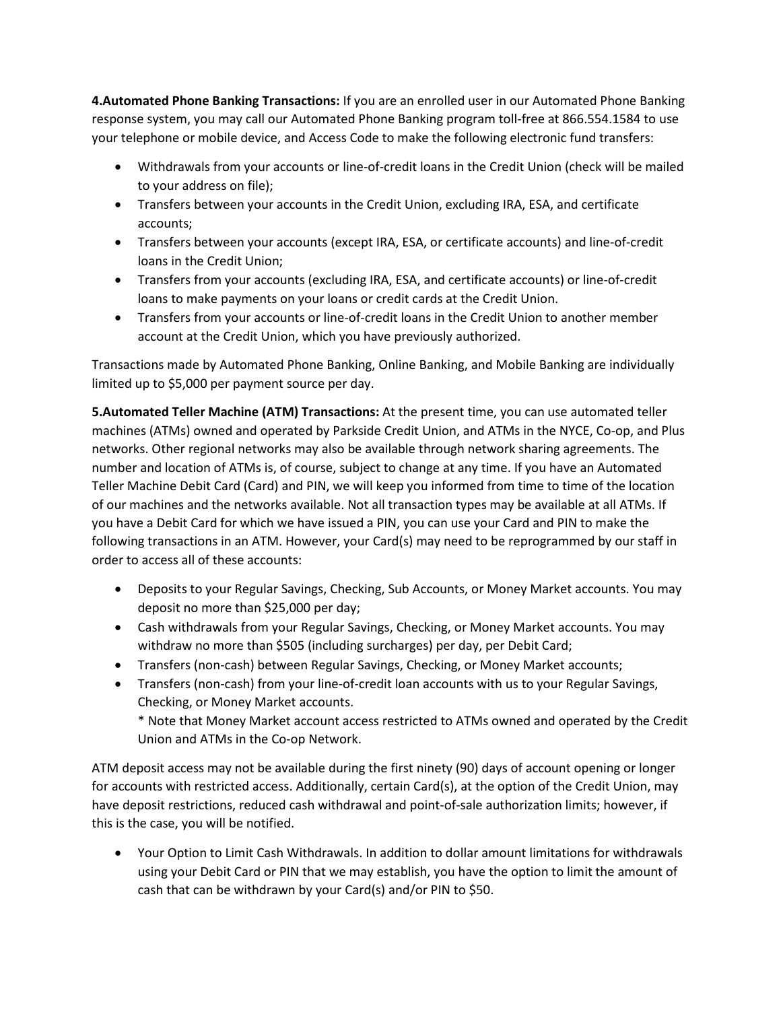**4.Automated Phone Banking Transactions:** If you are an enrolled user in our Automated Phone Banking response system, you may call our Automated Phone Banking program toll-free at 866.554.1584 to use your telephone or mobile device, and Access Code to make the following electronic fund transfers:

- Withdrawals from your accounts or line-of-credit loans in the Credit Union (check will be mailed to your address on file);
- Transfers between your accounts in the Credit Union, excluding IRA, ESA, and certificate accounts;
- Transfers between your accounts (except IRA, ESA, or certificate accounts) and line-of-credit loans in the Credit Union;
- Transfers from your accounts (excluding IRA, ESA, and certificate accounts) or line-of-credit loans to make payments on your loans or credit cards at the Credit Union.
- Transfers from your accounts or line-of-credit loans in the Credit Union to another member account at the Credit Union, which you have previously authorized.

Transactions made by Automated Phone Banking, Online Banking, and Mobile Banking are individually limited up to \$5,000 per payment source per day.

**5.Automated Teller Machine (ATM) Transactions:** At the present time, you can use automated teller machines (ATMs) owned and operated by Parkside Credit Union, and ATMs in the NYCE, Co-op, and Plus networks. Other regional networks may also be available through network sharing agreements. The number and location of ATMs is, of course, subject to change at any time. If you have an Automated Teller Machine Debit Card (Card) and PIN, we will keep you informed from time to time of the location of our machines and the networks available. Not all transaction types may be available at all ATMs. If you have a Debit Card for which we have issued a PIN, you can use your Card and PIN to make the following transactions in an ATM. However, your Card(s) may need to be reprogrammed by our staff in order to access all of these accounts:

- Deposits to your Regular Savings, Checking, Sub Accounts, or Money Market accounts. You may deposit no more than \$25,000 per day;
- Cash withdrawals from your Regular Savings, Checking, or Money Market accounts. You may withdraw no more than \$505 (including surcharges) per day, per Debit Card;
- Transfers (non-cash) between Regular Savings, Checking, or Money Market accounts;
- Transfers (non-cash) from your line-of-credit loan accounts with us to your Regular Savings, Checking, or Money Market accounts.

\* Note that Money Market account access restricted to ATMs owned and operated by the Credit Union and ATMs in the Co-op Network.

ATM deposit access may not be available during the first ninety (90) days of account opening or longer for accounts with restricted access. Additionally, certain Card(s), at the option of the Credit Union, may have deposit restrictions, reduced cash withdrawal and point-of-sale authorization limits; however, if this is the case, you will be notified.

• Your Option to Limit Cash Withdrawals. In addition to dollar amount limitations for withdrawals using your Debit Card or PIN that we may establish, you have the option to limit the amount of cash that can be withdrawn by your Card(s) and/or PIN to \$50.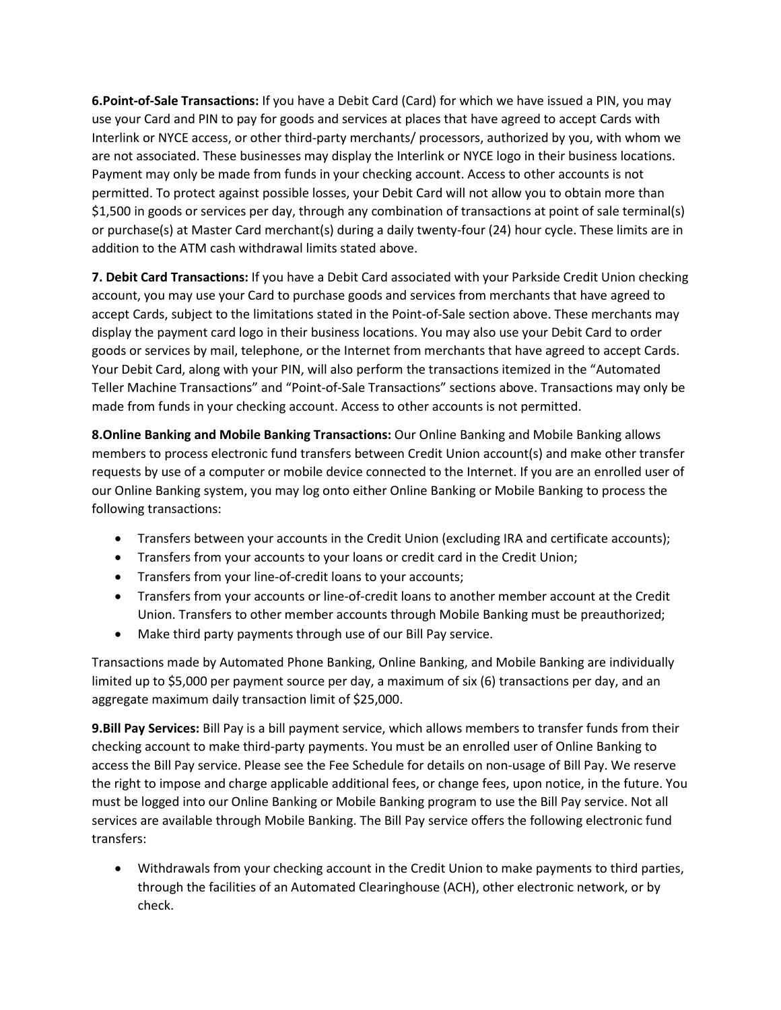**6.Point-of-Sale Transactions:** If you have a Debit Card (Card) for which we have issued a PIN, you may use your Card and PIN to pay for goods and services at places that have agreed to accept Cards with Interlink or NYCE access, or other third-party merchants/ processors, authorized by you, with whom we are not associated. These businesses may display the Interlink or NYCE logo in their business locations. Payment may only be made from funds in your checking account. Access to other accounts is not permitted. To protect against possible losses, your Debit Card will not allow you to obtain more than \$1,500 in goods or services per day, through any combination of transactions at point of sale terminal(s) or purchase(s) at Master Card merchant(s) during a daily twenty-four (24) hour cycle. These limits are in addition to the ATM cash withdrawal limits stated above.

**7. Debit Card Transactions:** If you have a Debit Card associated with your Parkside Credit Union checking account, you may use your Card to purchase goods and services from merchants that have agreed to accept Cards, subject to the limitations stated in the Point-of-Sale section above. These merchants may display the payment card logo in their business locations. You may also use your Debit Card to order goods or services by mail, telephone, or the Internet from merchants that have agreed to accept Cards. Your Debit Card, along with your PIN, will also perform the transactions itemized in the "Automated Teller Machine Transactions" and "Point-of-Sale Transactions" sections above. Transactions may only be made from funds in your checking account. Access to other accounts is not permitted.

**8.Online Banking and Mobile Banking Transactions:** Our Online Banking and Mobile Banking allows members to process electronic fund transfers between Credit Union account(s) and make other transfer requests by use of a computer or mobile device connected to the Internet. If you are an enrolled user of our Online Banking system, you may log onto either Online Banking or Mobile Banking to process the following transactions:

- Transfers between your accounts in the Credit Union (excluding IRA and certificate accounts);
- Transfers from your accounts to your loans or credit card in the Credit Union;
- Transfers from your line-of-credit loans to your accounts;
- Transfers from your accounts or line-of-credit loans to another member account at the Credit Union. Transfers to other member accounts through Mobile Banking must be preauthorized;
- Make third party payments through use of our Bill Pay service.

Transactions made by Automated Phone Banking, Online Banking, and Mobile Banking are individually limited up to \$5,000 per payment source per day, a maximum of six (6) transactions per day, and an aggregate maximum daily transaction limit of \$25,000.

**9.Bill Pay Services:** Bill Pay is a bill payment service, which allows members to transfer funds from their checking account to make third-party payments. You must be an enrolled user of Online Banking to access the Bill Pay service. Please see the Fee Schedule for details on non-usage of Bill Pay. We reserve the right to impose and charge applicable additional fees, or change fees, upon notice, in the future. You must be logged into our Online Banking or Mobile Banking program to use the Bill Pay service. Not all services are available through Mobile Banking. The Bill Pay service offers the following electronic fund transfers:

• Withdrawals from your checking account in the Credit Union to make payments to third parties, through the facilities of an Automated Clearinghouse (ACH), other electronic network, or by check.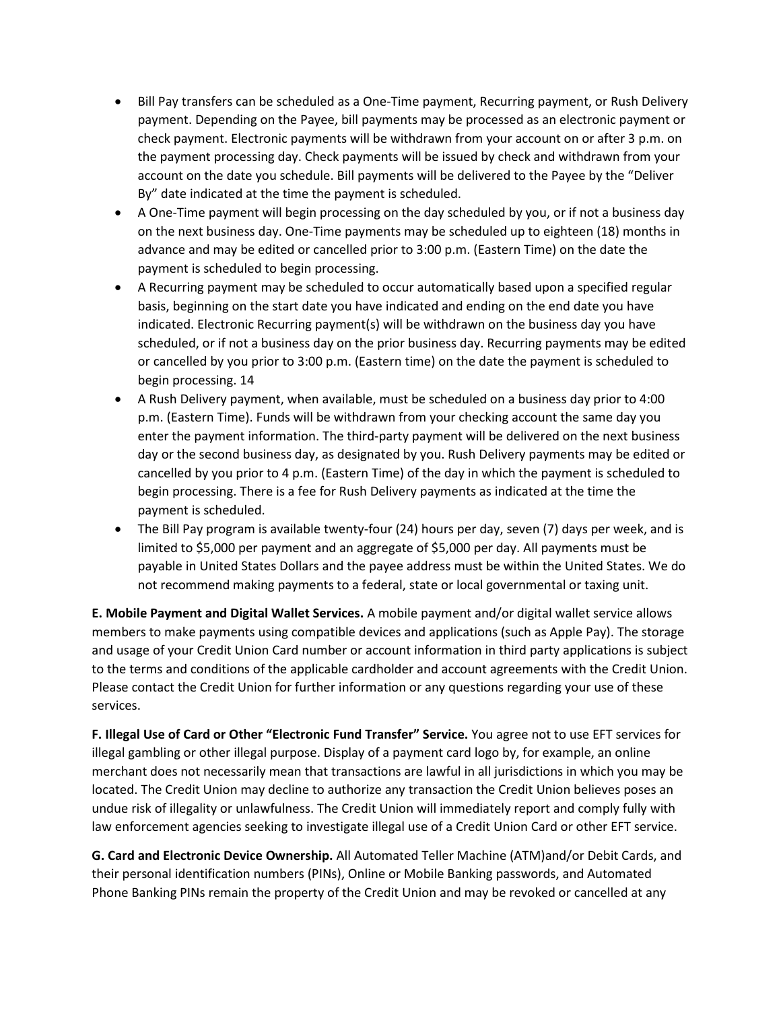- Bill Pay transfers can be scheduled as a One-Time payment, Recurring payment, or Rush Delivery payment. Depending on the Payee, bill payments may be processed as an electronic payment or check payment. Electronic payments will be withdrawn from your account on or after 3 p.m. on the payment processing day. Check payments will be issued by check and withdrawn from your account on the date you schedule. Bill payments will be delivered to the Payee by the "Deliver By" date indicated at the time the payment is scheduled.
- A One-Time payment will begin processing on the day scheduled by you, or if not a business day on the next business day. One-Time payments may be scheduled up to eighteen (18) months in advance and may be edited or cancelled prior to 3:00 p.m. (Eastern Time) on the date the payment is scheduled to begin processing.
- A Recurring payment may be scheduled to occur automatically based upon a specified regular basis, beginning on the start date you have indicated and ending on the end date you have indicated. Electronic Recurring payment(s) will be withdrawn on the business day you have scheduled, or if not a business day on the prior business day. Recurring payments may be edited or cancelled by you prior to 3:00 p.m. (Eastern time) on the date the payment is scheduled to begin processing. 14
- A Rush Delivery payment, when available, must be scheduled on a business day prior to 4:00 p.m. (Eastern Time). Funds will be withdrawn from your checking account the same day you enter the payment information. The third-party payment will be delivered on the next business day or the second business day, as designated by you. Rush Delivery payments may be edited or cancelled by you prior to 4 p.m. (Eastern Time) of the day in which the payment is scheduled to begin processing. There is a fee for Rush Delivery payments as indicated at the time the payment is scheduled.
- The Bill Pay program is available twenty-four (24) hours per day, seven (7) days per week, and is limited to \$5,000 per payment and an aggregate of \$5,000 per day. All payments must be payable in United States Dollars and the payee address must be within the United States. We do not recommend making payments to a federal, state or local governmental or taxing unit.

**E. Mobile Payment and Digital Wallet Services.** A mobile payment and/or digital wallet service allows members to make payments using compatible devices and applications (such as Apple Pay). The storage and usage of your Credit Union Card number or account information in third party applications is subject to the terms and conditions of the applicable cardholder and account agreements with the Credit Union. Please contact the Credit Union for further information or any questions regarding your use of these services.

**F. Illegal Use of Card or Other "Electronic Fund Transfer" Service.** You agree not to use EFT services for illegal gambling or other illegal purpose. Display of a payment card logo by, for example, an online merchant does not necessarily mean that transactions are lawful in all jurisdictions in which you may be located. The Credit Union may decline to authorize any transaction the Credit Union believes poses an undue risk of illegality or unlawfulness. The Credit Union will immediately report and comply fully with law enforcement agencies seeking to investigate illegal use of a Credit Union Card or other EFT service.

**G. Card and Electronic Device Ownership.** All Automated Teller Machine (ATM)and/or Debit Cards, and their personal identification numbers (PINs), Online or Mobile Banking passwords, and Automated Phone Banking PINs remain the property of the Credit Union and may be revoked or cancelled at any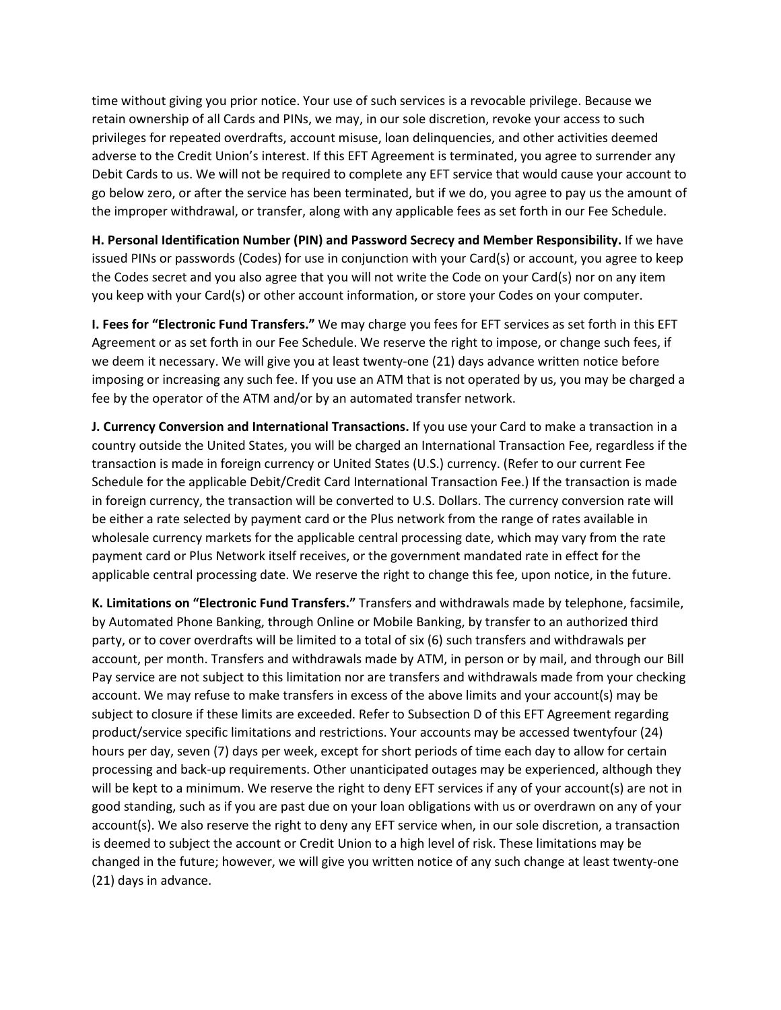time without giving you prior notice. Your use of such services is a revocable privilege. Because we retain ownership of all Cards and PINs, we may, in our sole discretion, revoke your access to such privileges for repeated overdrafts, account misuse, loan delinquencies, and other activities deemed adverse to the Credit Union's interest. If this EFT Agreement is terminated, you agree to surrender any Debit Cards to us. We will not be required to complete any EFT service that would cause your account to go below zero, or after the service has been terminated, but if we do, you agree to pay us the amount of the improper withdrawal, or transfer, along with any applicable fees as set forth in our Fee Schedule.

**H. Personal Identification Number (PIN) and Password Secrecy and Member Responsibility.** If we have issued PINs or passwords (Codes) for use in conjunction with your Card(s) or account, you agree to keep the Codes secret and you also agree that you will not write the Code on your Card(s) nor on any item you keep with your Card(s) or other account information, or store your Codes on your computer.

**I. Fees for "Electronic Fund Transfers."** We may charge you fees for EFT services as set forth in this EFT Agreement or as set forth in our Fee Schedule. We reserve the right to impose, or change such fees, if we deem it necessary. We will give you at least twenty-one (21) days advance written notice before imposing or increasing any such fee. If you use an ATM that is not operated by us, you may be charged a fee by the operator of the ATM and/or by an automated transfer network.

**J. Currency Conversion and International Transactions.** If you use your Card to make a transaction in a country outside the United States, you will be charged an International Transaction Fee, regardless if the transaction is made in foreign currency or United States (U.S.) currency. (Refer to our current Fee Schedule for the applicable Debit/Credit Card International Transaction Fee.) If the transaction is made in foreign currency, the transaction will be converted to U.S. Dollars. The currency conversion rate will be either a rate selected by payment card or the Plus network from the range of rates available in wholesale currency markets for the applicable central processing date, which may vary from the rate payment card or Plus Network itself receives, or the government mandated rate in effect for the applicable central processing date. We reserve the right to change this fee, upon notice, in the future.

**K. Limitations on "Electronic Fund Transfers."** Transfers and withdrawals made by telephone, facsimile, by Automated Phone Banking, through Online or Mobile Banking, by transfer to an authorized third party, or to cover overdrafts will be limited to a total of six (6) such transfers and withdrawals per account, per month. Transfers and withdrawals made by ATM, in person or by mail, and through our Bill Pay service are not subject to this limitation nor are transfers and withdrawals made from your checking account. We may refuse to make transfers in excess of the above limits and your account(s) may be subject to closure if these limits are exceeded. Refer to Subsection D of this EFT Agreement regarding product/service specific limitations and restrictions. Your accounts may be accessed twentyfour (24) hours per day, seven (7) days per week, except for short periods of time each day to allow for certain processing and back-up requirements. Other unanticipated outages may be experienced, although they will be kept to a minimum. We reserve the right to deny EFT services if any of your account(s) are not in good standing, such as if you are past due on your loan obligations with us or overdrawn on any of your account(s). We also reserve the right to deny any EFT service when, in our sole discretion, a transaction is deemed to subject the account or Credit Union to a high level of risk. These limitations may be changed in the future; however, we will give you written notice of any such change at least twenty-one (21) days in advance.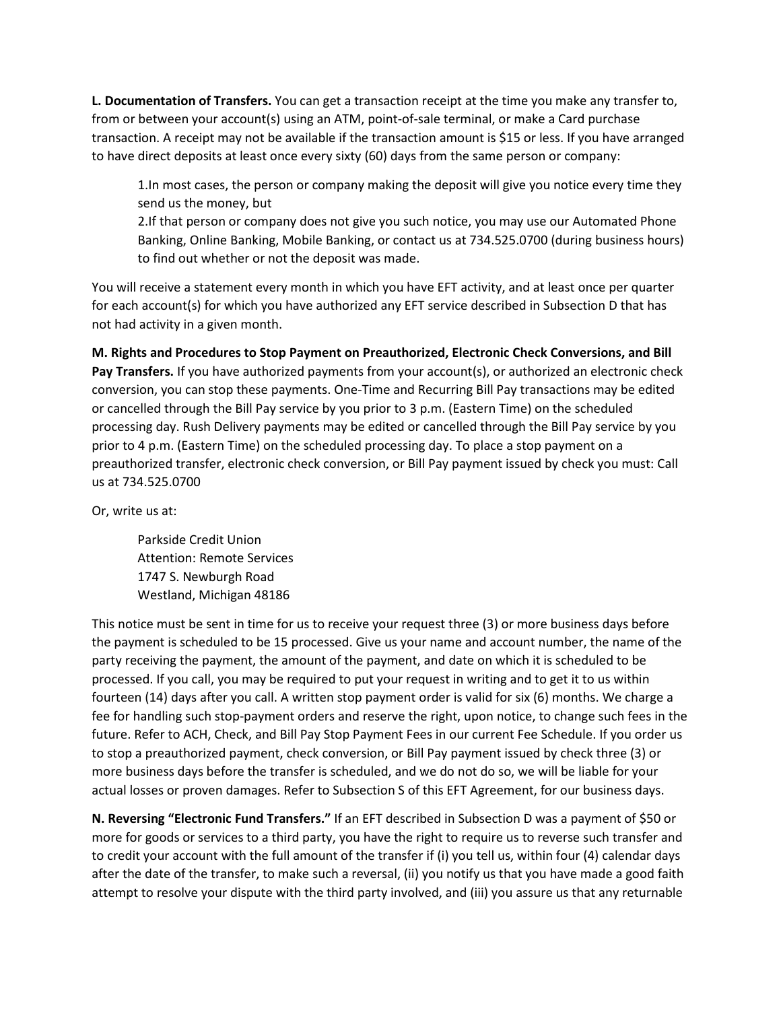**L. Documentation of Transfers.** You can get a transaction receipt at the time you make any transfer to, from or between your account(s) using an ATM, point-of-sale terminal, or make a Card purchase transaction. A receipt may not be available if the transaction amount is \$15 or less. If you have arranged to have direct deposits at least once every sixty (60) days from the same person or company:

1.In most cases, the person or company making the deposit will give you notice every time they send us the money, but

2.If that person or company does not give you such notice, you may use our Automated Phone Banking, Online Banking, Mobile Banking, or contact us at 734.525.0700 (during business hours) to find out whether or not the deposit was made.

You will receive a statement every month in which you have EFT activity, and at least once per quarter for each account(s) for which you have authorized any EFT service described in Subsection D that has not had activity in a given month.

**M. Rights and Procedures to Stop Payment on Preauthorized, Electronic Check Conversions, and Bill Pay Transfers.** If you have authorized payments from your account(s), or authorized an electronic check conversion, you can stop these payments. One-Time and Recurring Bill Pay transactions may be edited or cancelled through the Bill Pay service by you prior to 3 p.m. (Eastern Time) on the scheduled processing day. Rush Delivery payments may be edited or cancelled through the Bill Pay service by you prior to 4 p.m. (Eastern Time) on the scheduled processing day. To place a stop payment on a preauthorized transfer, electronic check conversion, or Bill Pay payment issued by check you must: Call us at 734.525.0700

Or, write us at:

Parkside Credit Union Attention: Remote Services 1747 S. Newburgh Road Westland, Michigan 48186

This notice must be sent in time for us to receive your request three (3) or more business days before the payment is scheduled to be 15 processed. Give us your name and account number, the name of the party receiving the payment, the amount of the payment, and date on which it is scheduled to be processed. If you call, you may be required to put your request in writing and to get it to us within fourteen (14) days after you call. A written stop payment order is valid for six (6) months. We charge a fee for handling such stop-payment orders and reserve the right, upon notice, to change such fees in the future. Refer to ACH, Check, and Bill Pay Stop Payment Fees in our current Fee Schedule. If you order us to stop a preauthorized payment, check conversion, or Bill Pay payment issued by check three (3) or more business days before the transfer is scheduled, and we do not do so, we will be liable for your actual losses or proven damages. Refer to Subsection S of this EFT Agreement, for our business days.

**N. Reversing "Electronic Fund Transfers."** If an EFT described in Subsection D was a payment of \$50 or more for goods or services to a third party, you have the right to require us to reverse such transfer and to credit your account with the full amount of the transfer if (i) you tell us, within four (4) calendar days after the date of the transfer, to make such a reversal, (ii) you notify us that you have made a good faith attempt to resolve your dispute with the third party involved, and (iii) you assure us that any returnable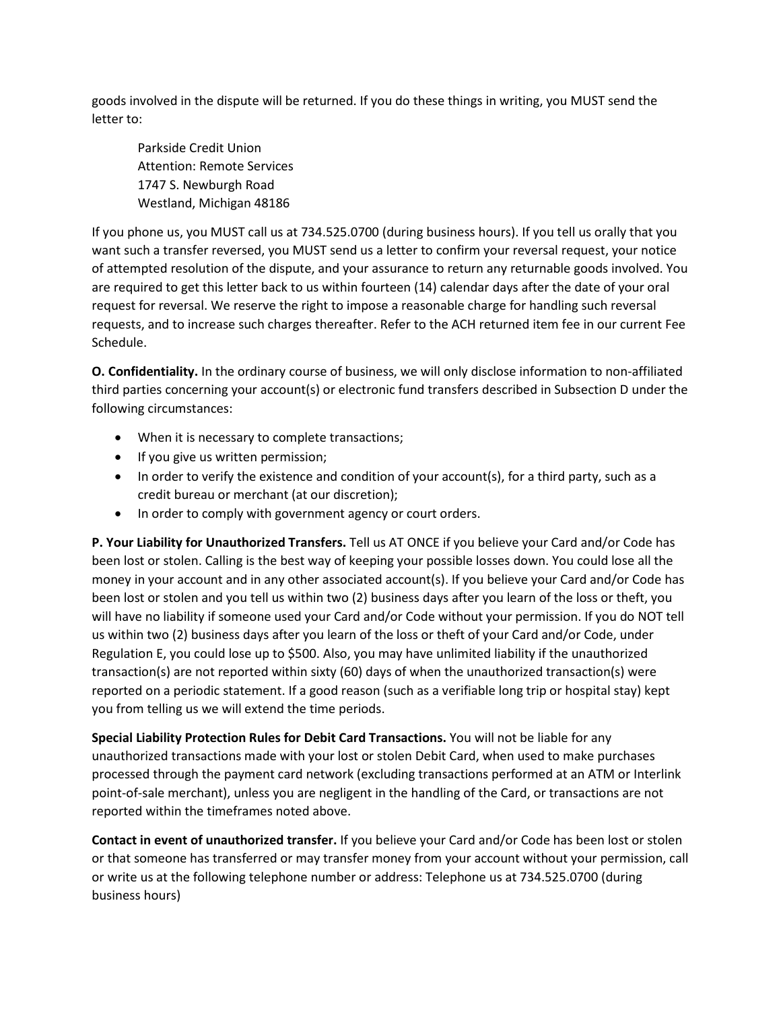goods involved in the dispute will be returned. If you do these things in writing, you MUST send the letter to:

Parkside Credit Union Attention: Remote Services 1747 S. Newburgh Road Westland, Michigan 48186

If you phone us, you MUST call us at 734.525.0700 (during business hours). If you tell us orally that you want such a transfer reversed, you MUST send us a letter to confirm your reversal request, your notice of attempted resolution of the dispute, and your assurance to return any returnable goods involved. You are required to get this letter back to us within fourteen (14) calendar days after the date of your oral request for reversal. We reserve the right to impose a reasonable charge for handling such reversal requests, and to increase such charges thereafter. Refer to the ACH returned item fee in our current Fee Schedule.

**O. Confidentiality.** In the ordinary course of business, we will only disclose information to non-affiliated third parties concerning your account(s) or electronic fund transfers described in Subsection D under the following circumstances:

- When it is necessary to complete transactions;
- If you give us written permission;
- In order to verify the existence and condition of your account(s), for a third party, such as a credit bureau or merchant (at our discretion);
- In order to comply with government agency or court orders.

**P. Your Liability for Unauthorized Transfers.** Tell us AT ONCE if you believe your Card and/or Code has been lost or stolen. Calling is the best way of keeping your possible losses down. You could lose all the money in your account and in any other associated account(s). If you believe your Card and/or Code has been lost or stolen and you tell us within two (2) business days after you learn of the loss or theft, you will have no liability if someone used your Card and/or Code without your permission. If you do NOT tell us within two (2) business days after you learn of the loss or theft of your Card and/or Code, under Regulation E, you could lose up to \$500. Also, you may have unlimited liability if the unauthorized transaction(s) are not reported within sixty (60) days of when the unauthorized transaction(s) were reported on a periodic statement. If a good reason (such as a verifiable long trip or hospital stay) kept you from telling us we will extend the time periods.

**Special Liability Protection Rules for Debit Card Transactions.** You will not be liable for any unauthorized transactions made with your lost or stolen Debit Card, when used to make purchases processed through the payment card network (excluding transactions performed at an ATM or Interlink point-of-sale merchant), unless you are negligent in the handling of the Card, or transactions are not reported within the timeframes noted above.

**Contact in event of unauthorized transfer.** If you believe your Card and/or Code has been lost or stolen or that someone has transferred or may transfer money from your account without your permission, call or write us at the following telephone number or address: Telephone us at 734.525.0700 (during business hours)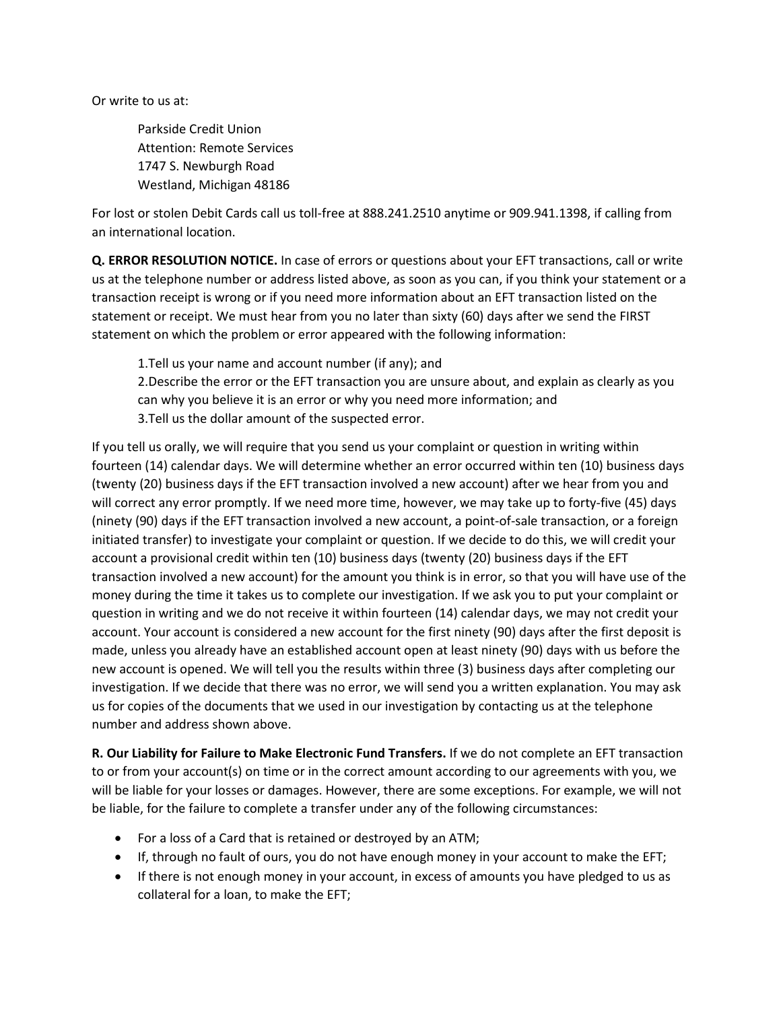Or write to us at:

Parkside Credit Union Attention: Remote Services 1747 S. Newburgh Road Westland, Michigan 48186

For lost or stolen Debit Cards call us toll-free at 888.241.2510 anytime or 909.941.1398, if calling from an international location.

**Q. ERROR RESOLUTION NOTICE.** In case of errors or questions about your EFT transactions, call or write us at the telephone number or address listed above, as soon as you can, if you think your statement or a transaction receipt is wrong or if you need more information about an EFT transaction listed on the statement or receipt. We must hear from you no later than sixty (60) days after we send the FIRST statement on which the problem or error appeared with the following information:

1.Tell us your name and account number (if any); and

2.Describe the error or the EFT transaction you are unsure about, and explain as clearly as you can why you believe it is an error or why you need more information; and 3.Tell us the dollar amount of the suspected error.

If you tell us orally, we will require that you send us your complaint or question in writing within fourteen (14) calendar days. We will determine whether an error occurred within ten (10) business days (twenty (20) business days if the EFT transaction involved a new account) after we hear from you and will correct any error promptly. If we need more time, however, we may take up to forty-five (45) days (ninety (90) days if the EFT transaction involved a new account, a point-of-sale transaction, or a foreign initiated transfer) to investigate your complaint or question. If we decide to do this, we will credit your account a provisional credit within ten (10) business days (twenty (20) business days if the EFT transaction involved a new account) for the amount you think is in error, so that you will have use of the money during the time it takes us to complete our investigation. If we ask you to put your complaint or question in writing and we do not receive it within fourteen (14) calendar days, we may not credit your account. Your account is considered a new account for the first ninety (90) days after the first deposit is made, unless you already have an established account open at least ninety (90) days with us before the new account is opened. We will tell you the results within three (3) business days after completing our investigation. If we decide that there was no error, we will send you a written explanation. You may ask us for copies of the documents that we used in our investigation by contacting us at the telephone number and address shown above.

**R. Our Liability for Failure to Make Electronic Fund Transfers.** If we do not complete an EFT transaction to or from your account(s) on time or in the correct amount according to our agreements with you, we will be liable for your losses or damages. However, there are some exceptions. For example, we will not be liable, for the failure to complete a transfer under any of the following circumstances:

- For a loss of a Card that is retained or destroyed by an ATM;
- If, through no fault of ours, you do not have enough money in your account to make the EFT;
- If there is not enough money in your account, in excess of amounts you have pledged to us as collateral for a loan, to make the EFT;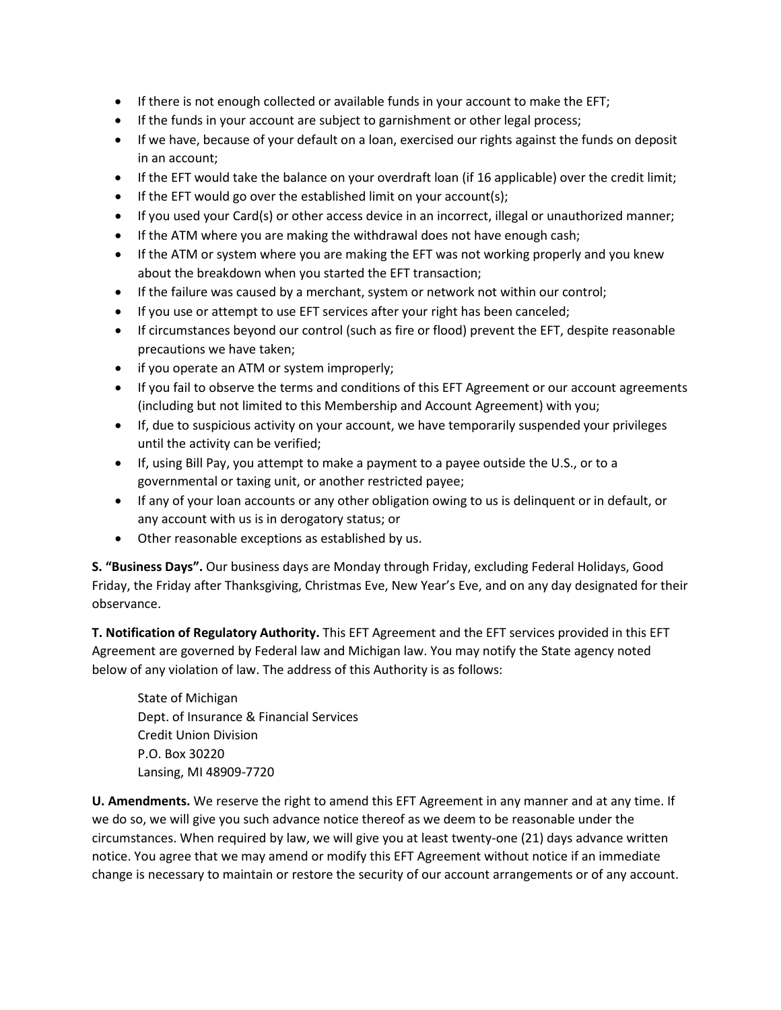- If there is not enough collected or available funds in your account to make the EFT;
- If the funds in your account are subject to garnishment or other legal process;
- If we have, because of your default on a loan, exercised our rights against the funds on deposit in an account;
- If the EFT would take the balance on your overdraft loan (if 16 applicable) over the credit limit;
- If the EFT would go over the established limit on your account(s);
- If you used your Card(s) or other access device in an incorrect, illegal or unauthorized manner;
- If the ATM where you are making the withdrawal does not have enough cash;
- If the ATM or system where you are making the EFT was not working properly and you knew about the breakdown when you started the EFT transaction;
- If the failure was caused by a merchant, system or network not within our control;
- If you use or attempt to use EFT services after your right has been canceled;
- If circumstances beyond our control (such as fire or flood) prevent the EFT, despite reasonable precautions we have taken;
- if you operate an ATM or system improperly;
- If you fail to observe the terms and conditions of this EFT Agreement or our account agreements (including but not limited to this Membership and Account Agreement) with you;
- If, due to suspicious activity on your account, we have temporarily suspended your privileges until the activity can be verified;
- If, using Bill Pay, you attempt to make a payment to a payee outside the U.S., or to a governmental or taxing unit, or another restricted payee;
- If any of your loan accounts or any other obligation owing to us is delinquent or in default, or any account with us is in derogatory status; or
- Other reasonable exceptions as established by us.

**S. "Business Days".** Our business days are Monday through Friday, excluding Federal Holidays, Good Friday, the Friday after Thanksgiving, Christmas Eve, New Year's Eve, and on any day designated for their observance.

**T. Notification of Regulatory Authority.** This EFT Agreement and the EFT services provided in this EFT Agreement are governed by Federal law and Michigan law. You may notify the State agency noted below of any violation of law. The address of this Authority is as follows:

State of Michigan Dept. of Insurance & Financial Services Credit Union Division P.O. Box 30220 Lansing, MI 48909-7720

**U. Amendments.** We reserve the right to amend this EFT Agreement in any manner and at any time. If we do so, we will give you such advance notice thereof as we deem to be reasonable under the circumstances. When required by law, we will give you at least twenty-one (21) days advance written notice. You agree that we may amend or modify this EFT Agreement without notice if an immediate change is necessary to maintain or restore the security of our account arrangements or of any account.